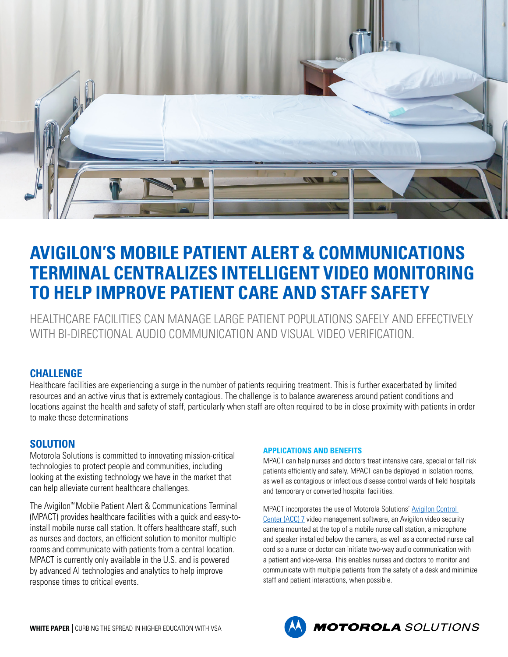

# **AVIGILON'S MOBILE PATIENT ALERT & COMMUNICATIONS TERMINAL CENTRALIZES INTELLIGENT VIDEO MONITORING TO HELP IMPROVE PATIENT CARE AND STAFF SAFETY**

HEALTHCARE FACILITIES CAN MANAGE LARGE PATIENT POPULATIONS SAFELY AND EFFECTIVELY WITH BI-DIRECTIONAL AUDIO COMMUNICATION AND VISUAL VIDEO VERIFICATION.

## **CHALLENGE**

Healthcare facilities are experiencing a surge in the number of patients requiring treatment. This is further exacerbated by limited resources and an active virus that is extremely contagious. The challenge is to balance awareness around patient conditions and locations against the health and safety of staff, particularly when staff are often required to be in close proximity with patients in order to make these determinations

## **SOLUTION**

Motorola Solutions is committed to innovating mission-critical technologies to protect people and communities, including looking at the existing technology we have in the market that can help alleviate current healthcare challenges.

The Avigilon™ Mobile Patient Alert & Communications Terminal (MPACT) provides healthcare facilities with a quick and easy-toinstall mobile nurse call station. It offers healthcare staff, such as nurses and doctors, an efficient solution to monitor multiple rooms and communicate with patients from a central location. MPACT is currently only available in the U.S. and is powered by advanced AI technologies and analytics to help improve response times to critical events.

#### **APPLICATIONS AND BENEFITS**

MPACT can help nurses and doctors treat intensive care, special or fall risk patients efficiently and safely. MPACT can be deployed in isolation rooms, as well as contagious or infectious disease control wards of field hospitals and temporary or converted hospital facilities.

MPACT incorporates the use of Motorola Solutions' [Avigilon Control](http://avigilon.com/acc)  [Center \(ACC\) 7](http://avigilon.com/acc) video management software, an Avigilon video security camera mounted at the top of a mobile nurse call station, a microphone and speaker installed below the camera, as well as a connected nurse call cord so a nurse or doctor can initiate two-way audio communication with a patient and vice-versa. This enables nurses and doctors to monitor and communicate with multiple patients from the safety of a desk and minimize staff and patient interactions, when possible.